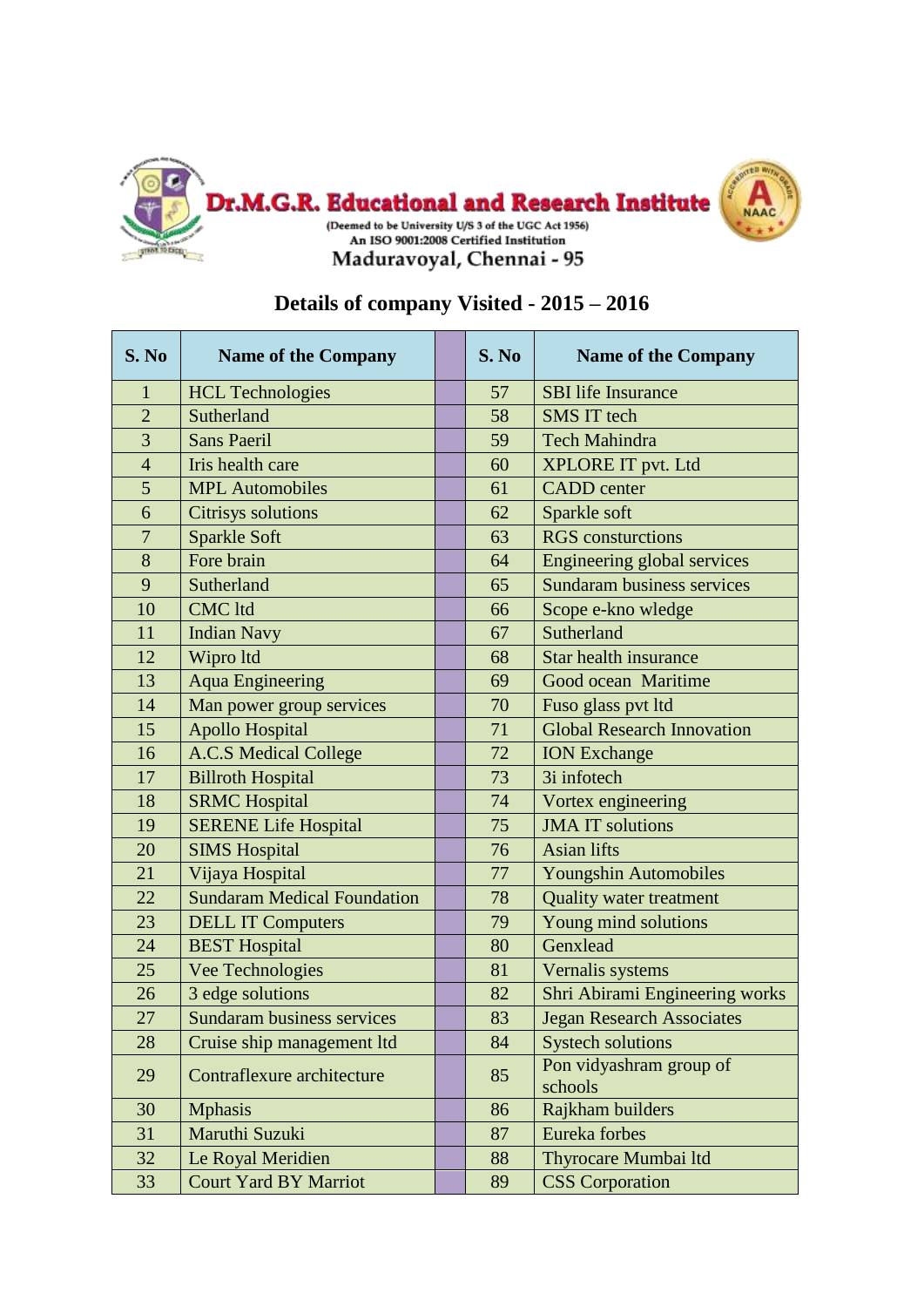

## **S. No Name of the Company S. No Name of the Company** 1 HCL Technologies 57 SBI life Insurance 2 Sutherland 58 SMS IT tech 3 Sans Paeril 59 Tech Mahindra 4 Iris health care 60 XPLORE IT pvt. Ltd 5 MPL Automobiles 61 CADD center 6 Citrisys solutions 62 Sparkle soft 7 Sparkle Soft 63 RGS consturctions 8 | Fore brain 64 | Engineering global services 9 Sutherland 65 Sundaram business services 10 CMC ltd 66 Scope e-kno wledge 11 | Indian Navy 67 | Sutherland 12 Wipro ltd 68 Star health insurance 13 | Aqua Engineering | | | | | | | | | Good ocean Maritime 14 | Man power group services | | 70 | Fuso glass pvt ltd 15 Apollo Hospital 71 Global Research Innovation 16 A.C.S Medical College 72 | ION Exchange 17 Billroth Hospital 17 3i infotech 18 SRMC Hospital 18 | 74 Vortex engineering 19 SERENE Life Hospital 75 JMA IT solutions 20 SIMS Hospital 20 | 76 Asian lifts 21 Vijaya Hospital 77 Youngshin Automobiles 22 Sundaram Medical Foundation 78 | Quality water treatment 23 DELL IT Computers 23 | 79 Young mind solutions 24 BEST Hospital 80 Genxlead 25 Vee Technologies 81 Vernalis systems 26 3 edge solutions 82 Shri Abirami Engineering works 27 Sundaram business services 83 Jegan Research Associates 28 Cruise ship management ltd | 84 Systech solutions 29 Contraflexure architecture 85 Pon vidyashram group of schools 30 | Mphasis 86 | Rajkham builders 31 | Maruthi Suzuki | 87 | Eureka forbes 32 Le Royal Meridien 188 Thyrocare Mumbai ltd 33 Court Yard BY Marriot 89 CSS Corporation

## **Details of company Visited - 2015 – 2016**